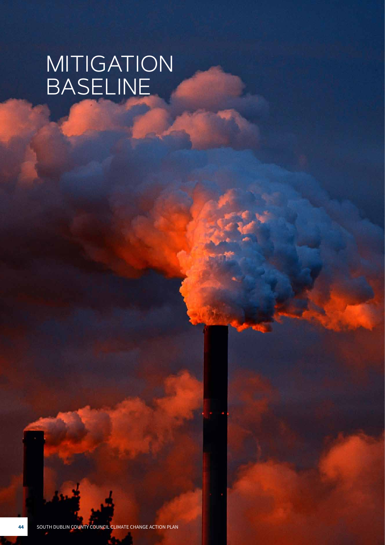# MITIGATION BASELINE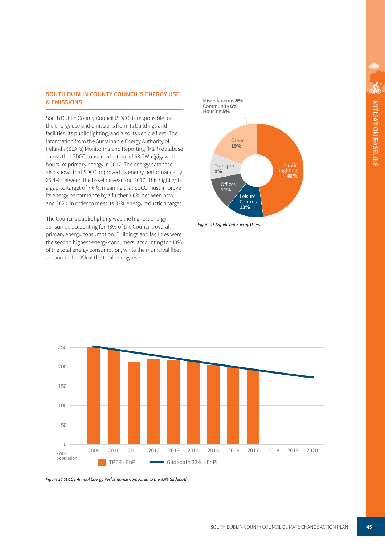## **SOUTH DUBLIN COUNTY COUNCIL'S ENERGY USE & EMISSIONS**

South Dublin County Council (SDCC) is responsible for the energy use and emissions from its buildings and facilities, its public lighting, and also its vehicle fleet. The information from the Sustainable Energy Authority of Ireland's (SEAI's) Monitoring and Reporting (M&R) database shows that SDCC consumed a total of 53 GWh (gigawatt hours) of primary energy in 2017. The energy database also shows that SDCC improved its energy performance by 25.4% between the baseline year and 2017. This highlights a gap-to-target of 7.6%, meaning that SDCC must improve its energy performance by a further 7.6% between now and 2020, in order to meet its 33% energy reduction target.

The Council's public lighting was the highest energy consumer, accounting for 48% of the Council's overall primary energy consumption. Buildings and facilities were the second highest energy consumers, accounting for 43% of the total energy consumption, while the municipal fleet accounted for 9% of the total energy use.



Figure 15 Significant Energy Users



*Figure 16 SDCC's Annual Energy Performance Compared to the 33% Glidepath*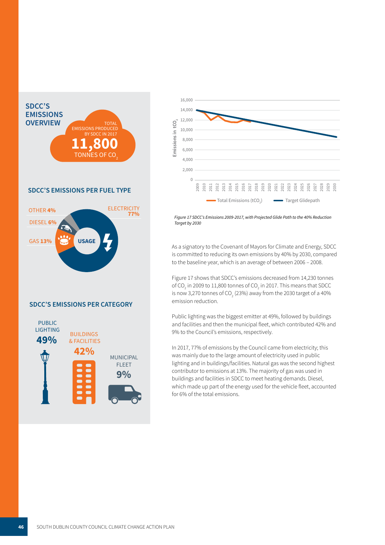

### **SDCC'S EMISSIONS PER FUEL TYPE**



#### **SDCC'S EMISSIONS PER CATEGORY**





 *Figure 17 SDCC's Emissions 2009-2017, with Projected Glide Path to the 40% Reduction Target by 2030*

 is committed to reducing its own emissions by 40% by 2030, compared  $\frac{1}{2}$  cutting its UWITER instruments by 40 70 by 2000 to the baseline year, which is an average of between 2006 – 2008. As a signatory to the Covenant of Mayors for Climate and Energy, SDCC

is now 3,270 tonnes of CO<sub>2</sub> (23%) away from the 2030 target of a 40%<br>emission reduction. Figure 17 shows that SDCC's emissions decreased from 14,230 tonnes of CO<sub>2</sub> in 2009 to 11,800 tonnes of CO<sub>2</sub> in 2017. This means that SDCC emission reduction.

 $\frac{1}{2} \left( \frac{1}{2} \frac{1}{2} \frac{1}{2} \right) \left( \frac{1}{2} \frac{1}{2} \right) \left( \frac{1}{2} \frac{1}{2} \right)$  Public lighting was the biggest emitter at 49%, followed by buildings and facilities and then the municipal fleet, which contributed 42% and 9% to the Council's emissions, respectively.

 In 2017, 77% of emissions by the Council came from electricity; this was mainly due to the large amount of electricity used in public lighting and in buildings/facilities. Natural gas was the second highest contributor to emissions at 13%. The majority of gas was used in buildings and facilities in SDCC to meet heating demands. Diesel, which made up part of the energy used for the vehicle fleet, accounted for 6% of the total emissions.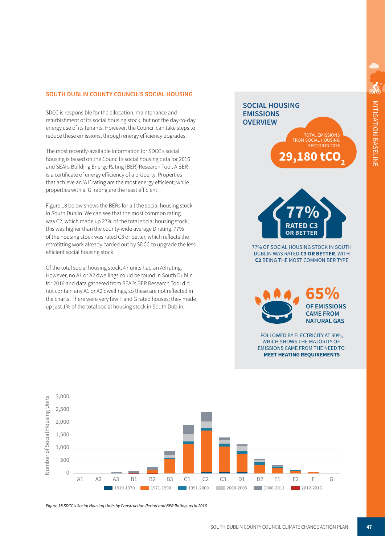# **SOUTH DUBLIN COUNTY COUNCIL'S SOCIAL HOUSING**

reduce these emissions, through energy efficiency upgrades.<br>The meet meeths and labels information for CDCC's assist refurbishment of its social housing stock, but not the day-to-day energy use of its tenants. However, the Council can take steps to SDCC is responsible for the allocation, maintenance and

 properties with a 'G' rating are the least efficient. The most recently-available information for SDCC s social discussions and the council's social housing data for 2016 The most recently-available information for SDCC's social and SEAI's Building Energy Rating (BER) Research Tool. A BER is a certificate of energy efficiency of a property. Properties that achieve an 'A1' rating are the most energy efficient, while

 Figure 18 below shows the BERs for all the social housing stock in South Dublin. We can see that the most common rating was C2, which made up 27% of the total social housing stock; of the housing stock was rated C3 or better, which reflects the this was higher than the county-wide average D rating. 77% retrofitting work already carried out by SDCC to upgrade the less efficient social housing stock.

 the charts. There were very few F and G rated houses; they made Of the total social housing stock, 47 units had an A3 rating. However, no A1 or A2 dwellings could be found in South Dublin for 2016 and data gathered from SEAI's BER Research Tool did not contain any A1 or A2 dwellings, so these are not reflected in up just 1% of the total social housing stock in South Dublin.

# **SOCIAL HOUSING EMISSIONS OVERVIEW 29.180 tC TOTAL EMISSIONS FROM** SOCIAL HOUSING SECTOR IN 2016



77% OF SOCIAL HOUSING STOCK IN SOUTH DUBLIN WAS RATED C3 OR BETTER. WITH **C2 BEING THE MOST COMMON BER TYPE** 



FOLLOWED BY ELECTRICITY AT 30%, WHICH SHOWS THE MAJORITY OF **EMISSIONS CAME FROM THE NEED TO MEET HEATING REQUIREMENTS** 



Figure 18 SDCC's Social Housing Units by Construction Period and BER Rating, as in 2016